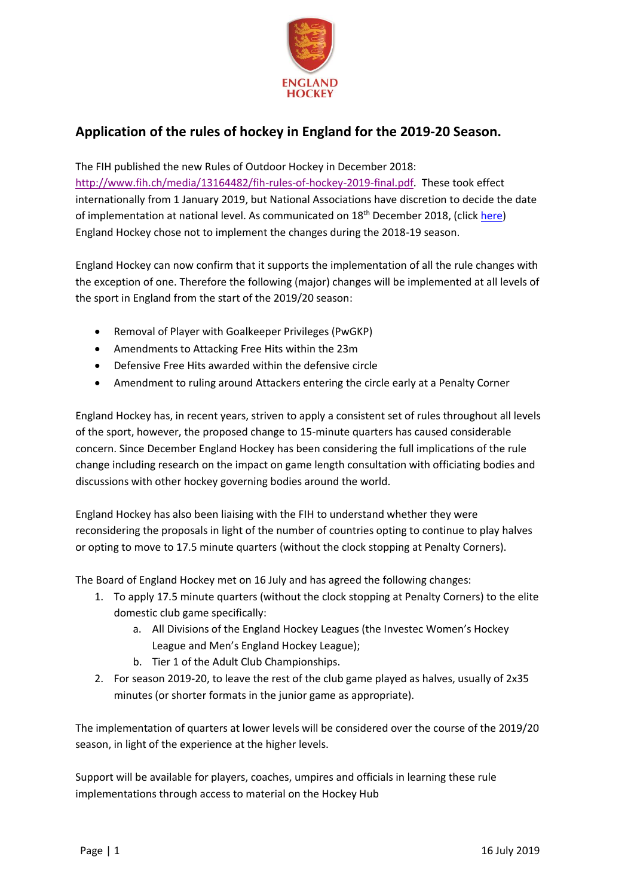

## **Application of the rules of hockey in England for the 2019-20 Season.**

The FIH published the new Rules of Outdoor Hockey in December 2018: [http://www.fih.ch/media/13164482/fih-rules-of-hockey-2019-final.pdf.](http://www.fih.ch/media/13164482/fih-rules-of-hockey-2019-final.pdf) These took effect internationally from 1 January 2019, but National Associations have discretion to decide the date of implementation at national level. As communicated on 18<sup>th</sup> December 2018, (clic[k here\)](http://www.englandhockey.co.uk/news.asp?itemid=44978&itemTitle=England+Hockey+Response+To+FIH%27s+Proposed+Rule+Changes§ion=22) England Hockey chose not to implement the changes during the 2018-19 season.

England Hockey can now confirm that it supports the implementation of all the rule changes with the exception of one. Therefore the following (major) changes will be implemented at all levels of the sport in England from the start of the 2019/20 season:

- Removal of Player with Goalkeeper Privileges (PwGKP)
- Amendments to Attacking Free Hits within the 23m
- Defensive Free Hits awarded within the defensive circle
- Amendment to ruling around Attackers entering the circle early at a Penalty Corner

England Hockey has, in recent years, striven to apply a consistent set of rules throughout all levels of the sport, however, the proposed change to 15-minute quarters has caused considerable concern. Since December England Hockey has been considering the full implications of the rule change including research on the impact on game length consultation with officiating bodies and discussions with other hockey governing bodies around the world.

England Hockey has also been liaising with the FIH to understand whether they were reconsidering the proposals in light of the number of countries opting to continue to play halves or opting to move to 17.5 minute quarters (without the clock stopping at Penalty Corners).

The Board of England Hockey met on 16 July and has agreed the following changes:

- 1. To apply 17.5 minute quarters (without the clock stopping at Penalty Corners) to the elite domestic club game specifically:
	- a. All Divisions of the England Hockey Leagues (the Investec Women's Hockey League and Men's England Hockey League);
	- b. Tier 1 of the Adult Club Championships.
- 2. For season 2019-20, to leave the rest of the club game played as halves, usually of 2x35 minutes (or shorter formats in the junior game as appropriate).

The implementation of quarters at lower levels will be considered over the course of the 2019/20 season, in light of the experience at the higher levels.

Support will be available for players, coaches, umpires and officials in learning these rule implementations through access to material on the Hockey Hub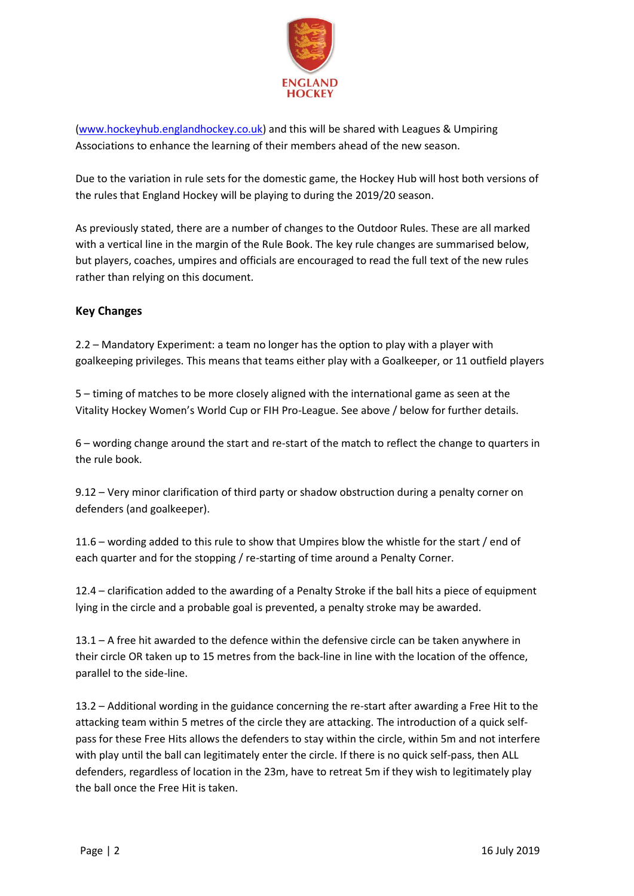

[\(www.hockeyhub.englandhockey.co.uk\)](http://www.hockeyhub.englandhockey.co.uk/) and this will be shared with Leagues & Umpiring Associations to enhance the learning of their members ahead of the new season.

Due to the variation in rule sets for the domestic game, the Hockey Hub will host both versions of the rules that England Hockey will be playing to during the 2019/20 season.

As previously stated, there are a number of changes to the Outdoor Rules. These are all marked with a vertical line in the margin of the Rule Book. The key rule changes are summarised below, but players, coaches, umpires and officials are encouraged to read the full text of the new rules rather than relying on this document.

## **Key Changes**

2.2 – Mandatory Experiment: a team no longer has the option to play with a player with goalkeeping privileges. This means that teams either play with a Goalkeeper, or 11 outfield players

5 – timing of matches to be more closely aligned with the international game as seen at the Vitality Hockey Women's World Cup or FIH Pro-League. See above / below for further details.

6 – wording change around the start and re-start of the match to reflect the change to quarters in the rule book.

9.12 – Very minor clarification of third party or shadow obstruction during a penalty corner on defenders (and goalkeeper).

11.6 – wording added to this rule to show that Umpires blow the whistle for the start / end of each quarter and for the stopping / re-starting of time around a Penalty Corner.

12.4 – clarification added to the awarding of a Penalty Stroke if the ball hits a piece of equipment lying in the circle and a probable goal is prevented, a penalty stroke may be awarded.

13.1 – A free hit awarded to the defence within the defensive circle can be taken anywhere in their circle OR taken up to 15 metres from the back-line in line with the location of the offence, parallel to the side-line.

13.2 – Additional wording in the guidance concerning the re-start after awarding a Free Hit to the attacking team within 5 metres of the circle they are attacking. The introduction of a quick selfpass for these Free Hits allows the defenders to stay within the circle, within 5m and not interfere with play until the ball can legitimately enter the circle. If there is no quick self-pass, then ALL defenders, regardless of location in the 23m, have to retreat 5m if they wish to legitimately play the ball once the Free Hit is taken.